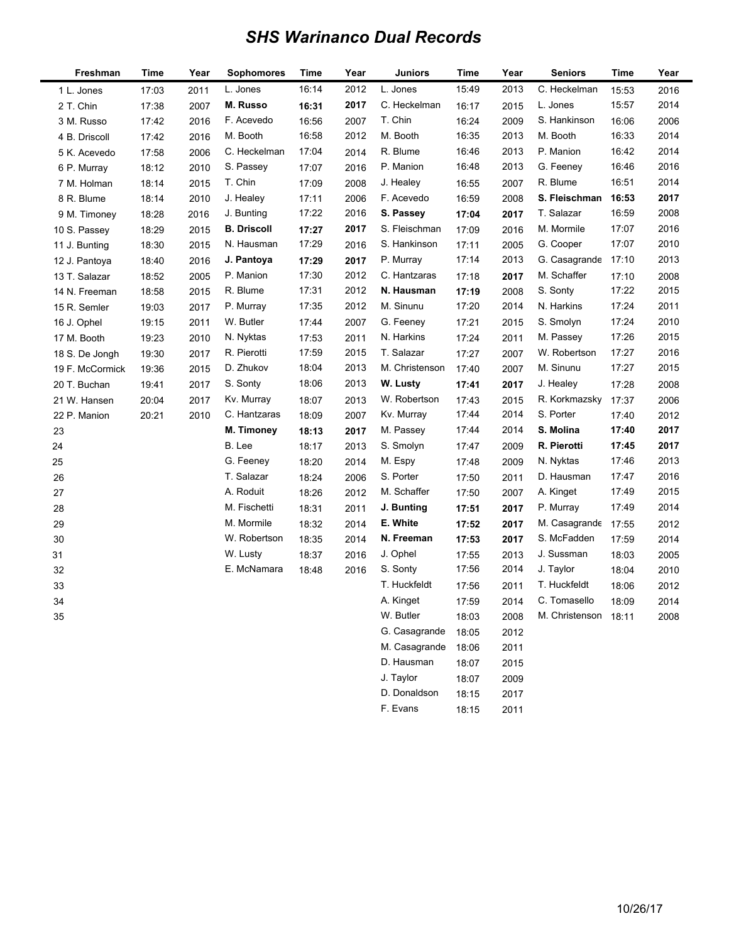## *SHS Warinanco Dual Records*

ı

| Freshman        | Time  | Year | Sophomores         | Time  | Year | Juniors        | <b>Time</b> | Year | <b>Seniors</b> | Time  | Year |
|-----------------|-------|------|--------------------|-------|------|----------------|-------------|------|----------------|-------|------|
| 1 L. Jones      | 17:03 | 2011 | L. Jones           | 16:14 | 2012 | L. Jones       | 15:49       | 2013 | C. Heckelman   | 15:53 | 2016 |
| 2 T. Chin       | 17:38 | 2007 | M. Russo           | 16:31 | 2017 | C. Heckelman   | 16:17       | 2015 | L. Jones       | 15:57 | 2014 |
| 3 M. Russo      | 17:42 | 2016 | F. Acevedo         | 16:56 | 2007 | T. Chin        | 16:24       | 2009 | S. Hankinson   | 16:06 | 2006 |
| 4 B. Driscoll   | 17:42 | 2016 | M. Booth           | 16:58 | 2012 | M. Booth       | 16:35       | 2013 | M. Booth       | 16:33 | 2014 |
| 5 K. Acevedo    | 17:58 | 2006 | C. Heckelman       | 17:04 | 2014 | R. Blume       | 16:46       | 2013 | P. Manion      | 16:42 | 2014 |
| 6 P. Murray     | 18:12 | 2010 | S. Passey          | 17:07 | 2016 | P. Manion      | 16:48       | 2013 | G. Feeney      | 16:46 | 2016 |
| 7 M. Holman     | 18:14 | 2015 | T. Chin            | 17:09 | 2008 | J. Healey      | 16:55       | 2007 | R. Blume       | 16:51 | 2014 |
| 8 R. Blume      | 18:14 | 2010 | J. Healey          | 17:11 | 2006 | F. Acevedo     | 16:59       | 2008 | S. Fleischman  | 16:53 | 2017 |
| 9 M. Timoney    | 18:28 | 2016 | J. Bunting         | 17:22 | 2016 | S. Passey      | 17:04       | 2017 | T. Salazar     | 16:59 | 2008 |
| 10 S. Passey    | 18:29 | 2015 | <b>B. Driscoll</b> | 17:27 | 2017 | S. Fleischman  | 17:09       | 2016 | M. Mormile     | 17:07 | 2016 |
| 11 J. Bunting   | 18:30 | 2015 | N. Hausman         | 17:29 | 2016 | S. Hankinson   | 17:11       | 2005 | G. Cooper      | 17:07 | 2010 |
| 12 J. Pantoya   | 18:40 | 2016 | J. Pantoya         | 17:29 | 2017 | P. Murray      | 17:14       | 2013 | G. Casagrande  | 17:10 | 2013 |
| 13 T. Salazar   | 18:52 | 2005 | P. Manion          | 17:30 | 2012 | C. Hantzaras   | 17:18       | 2017 | M. Schaffer    | 17:10 | 2008 |
| 14 N. Freeman   | 18:58 | 2015 | R. Blume           | 17:31 | 2012 | N. Hausman     | 17:19       | 2008 | S. Sonty       | 17:22 | 2015 |
| 15 R. Semler    | 19:03 | 2017 | P. Murray          | 17:35 | 2012 | M. Sinunu      | 17:20       | 2014 | N. Harkins     | 17:24 | 2011 |
| 16 J. Ophel     | 19:15 | 2011 | W. Butler          | 17:44 | 2007 | G. Feeney      | 17:21       | 2015 | S. Smolyn      | 17:24 | 2010 |
| 17 M. Booth     | 19:23 | 2010 | N. Nyktas          | 17:53 | 2011 | N. Harkins     | 17:24       | 2011 | M. Passey      | 17:26 | 2015 |
| 18 S. De Jongh  | 19:30 | 2017 | R. Pierotti        | 17:59 | 2015 | T. Salazar     | 17:27       | 2007 | W. Robertson   | 17:27 | 2016 |
| 19 F. McCormick | 19:36 | 2015 | D. Zhukov          | 18:04 | 2013 | M. Christenson | 17:40       | 2007 | M. Sinunu      | 17:27 | 2015 |
| 20 T. Buchan    | 19:41 | 2017 | S. Sonty           | 18:06 | 2013 | W. Lusty       | 17:41       | 2017 | J. Healey      | 17:28 | 2008 |
| 21 W. Hansen    | 20:04 | 2017 | Kv. Murray         | 18:07 | 2013 | W. Robertson   | 17:43       | 2015 | R. Korkmazsky  | 17:37 | 2006 |
| 22 P. Manion    | 20:21 | 2010 | C. Hantzaras       | 18:09 | 2007 | Kv. Murray     | 17:44       | 2014 | S. Porter      | 17:40 | 2012 |
| 23              |       |      | M. Timoney         | 18:13 | 2017 | M. Passey      | 17:44       | 2014 | S. Molina      | 17:40 | 2017 |
| 24              |       |      | B. Lee             | 18:17 | 2013 | S. Smolyn      | 17:47       | 2009 | R. Pierotti    | 17:45 | 2017 |
| 25              |       |      | G. Feeney          | 18:20 | 2014 | M. Espy        | 17:48       | 2009 | N. Nyktas      | 17:46 | 2013 |
| 26              |       |      | T. Salazar         | 18:24 | 2006 | S. Porter      | 17:50       | 2011 | D. Hausman     | 17:47 | 2016 |
| 27              |       |      | A. Roduit          | 18:26 | 2012 | M. Schaffer    | 17:50       | 2007 | A. Kinget      | 17:49 | 2015 |
| 28              |       |      | M. Fischetti       | 18:31 | 2011 | J. Bunting     | 17:51       | 2017 | P. Murray      | 17:49 | 2014 |
| 29              |       |      | M. Mormile         | 18:32 | 2014 | E. White       | 17:52       | 2017 | M. Casagrande  | 17:55 | 2012 |
| 30              |       |      | W. Robertson       | 18:35 | 2014 | N. Freeman     | 17:53       | 2017 | S. McFadden    | 17:59 | 2014 |
| 31              |       |      | W. Lusty           | 18:37 | 2016 | J. Ophel       | 17:55       | 2013 | J. Sussman     | 18:03 | 2005 |
| 32              |       |      | E. McNamara        | 18:48 | 2016 | S. Sonty       | 17:56       | 2014 | J. Taylor      | 18:04 | 2010 |
| 33              |       |      |                    |       |      | T. Huckfeldt   | 17:56       | 2011 | T. Huckfeldt   | 18:06 | 2012 |
| 34              |       |      |                    |       |      | A. Kinget      | 17:59       | 2014 | C. Tomasello   | 18:09 | 2014 |
| 35              |       |      |                    |       |      | W. Butler      | 18:03       | 2008 | M. Christenson | 18:11 | 2008 |
|                 |       |      |                    |       |      | G. Casagrande  | 18:05       | 2012 |                |       |      |
|                 |       |      |                    |       |      | M. Casagrande  | 18:06       | 2011 |                |       |      |
|                 |       |      |                    |       |      | D. Hausman     | 18:07       | 2015 |                |       |      |
|                 |       |      |                    |       |      | J. Taylor      | 18:07       | 2009 |                |       |      |

D. Donaldson 18:15 2017 F. Evans 18:15 2011